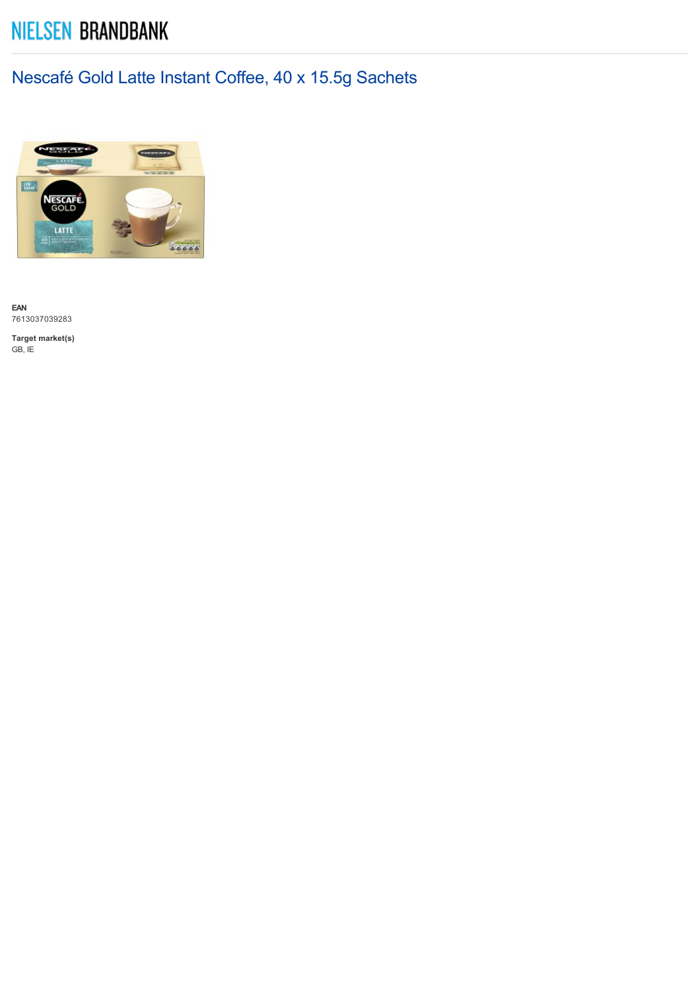## **NIELSEN BRANDBANK**

## Nescafé Gold Latte Instant Coffee, 40 x 15.5g Sachets



**EAN** 7613037039283

**Target market(s)** GB, IE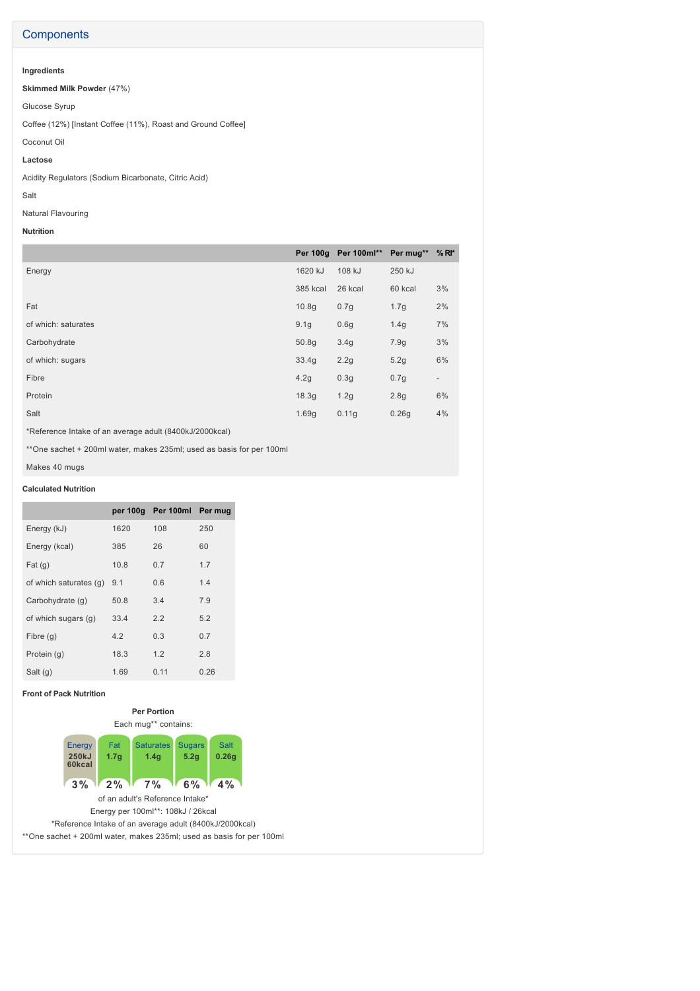#### **Components**

### **Ingredients**

**Skimmed Milk Powder** (47%)

Glucose Syrup

Coffee (12%) [Instant Coffee (11%), Roast and Ground Coffee]

### Coconut Oil

**Lactose**

Acidity Regulators (Sodium Bicarbonate, Citric Acid)

#### Salt

Natural Flavouring

#### **Nutrition**

|                     |          | Per 100g Per 100ml** Per mug** |                  | $%$ RI*                  |
|---------------------|----------|--------------------------------|------------------|--------------------------|
| Energy              | 1620 kJ  | 108 kJ                         | 250 kJ           |                          |
|                     | 385 kcal | 26 kcal                        | 60 kcal          | 3%                       |
| Fat                 | 10.8q    | 0.7g                           | 1.7g             | 2%                       |
| of which: saturates | 9.1q     | 0.6q                           | 1.4q             | 7%                       |
| Carbohydrate        | 50.8q    | 3.4g                           | 7.9g             | 3%                       |
| of which: sugars    | 33.4g    | 2.2g                           | 5.2g             | 6%                       |
| Fibre               | 4.2g     | 0.3g                           | 0.7g             | $\overline{\phantom{0}}$ |
| Protein             | 18.3g    | 1.2g                           | 2.8 <sub>g</sub> | 6%                       |
| Salt                | 1.69g    | 0.11g                          | 0.26g            | 4%                       |

\*Reference Intake of an average adult (8400kJ/2000kcal)

\*\*One sachet + 200ml water, makes 235ml; used as basis for per 100ml

Makes 40 mugs

#### **Calculated Nutrition**

|                        | per 100g | Per 100ml Per mug |      |
|------------------------|----------|-------------------|------|
| Energy (kJ)            | 1620     | 108               | 250  |
| Energy (kcal)          | 385      | 26                | 60   |
| Fat(g)                 | 10.8     | 0.7               | 1.7  |
| of which saturates (q) | 9.1      | 0.6               | 1.4  |
| Carbohydrate (q)       | 50.8     | 3.4               | 7.9  |
| of which sugars (g)    | 33.4     | 2.2               | 5.2  |
| Fibre $(g)$            | 4.2      | 0.3               | 0.7  |
| Protein (g)            | 18.3     | 1.2               | 2.8  |
| Salt (g)               | 1.69     | 0.11              | 0.26 |

#### **Front of Pack Nutrition**



Each mug\*\* contains:



Energy per 100ml\*\*: 108kJ / 26kcal \*Reference Intake of an average adult (8400kJ/2000kcal) \*\*One sachet + 200ml water, makes 235ml; used as basis for per 100ml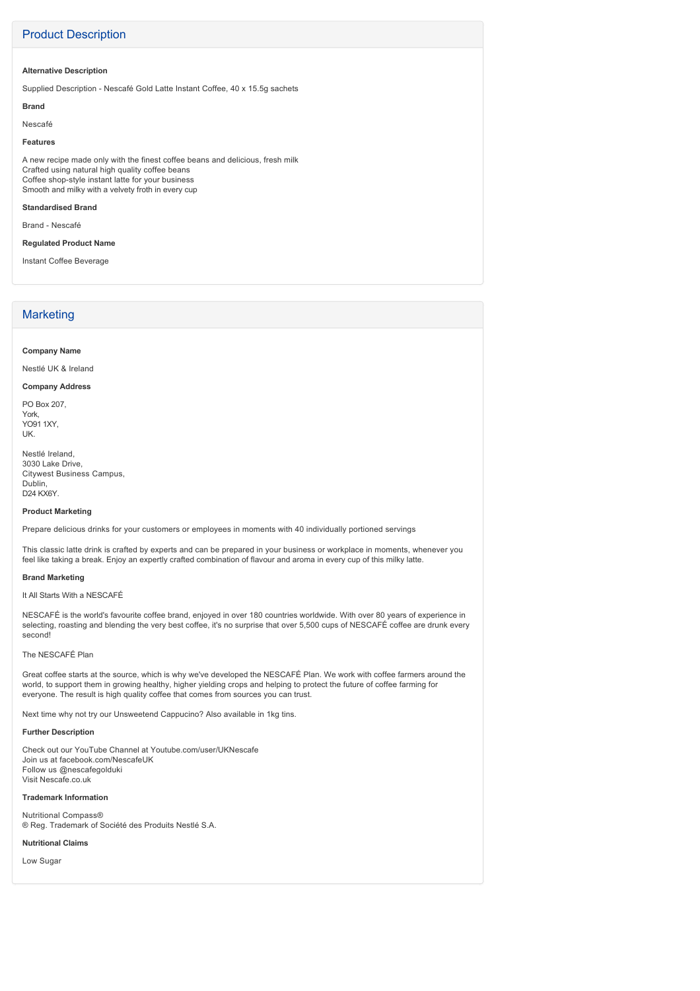#### Product Description

#### **Alternative Description**

Supplied Description - Nescafé Gold Latte Instant Coffee, 40 x 15.5g sachets

#### **Brand**

Nescafé

#### **Features**

A new recipe made only with the finest coffee beans and delicious, fresh milk Crafted using natural high quality coffee beans Coffee shop-style instant latte for your business Smooth and milky with a velvety froth in every cup

#### **Standardised Brand**

Brand - Nescafé

#### **Regulated Product Name**

Instant Coffee Beverage

#### **Marketing**

#### **Company Name**

Nestlé UK & Ireland

#### **Company Address**

PO Box 207, York, YO91 1XY, UK.

Nestlé Ireland, 3030 Lake Drive, Citywest Business Campus, Dublin, D24 KX6Y.

#### **Product Marketing**

Prepare delicious drinks for your customers or employees in moments with 40 individually portioned servings

This classic latte drink is crafted by experts and can be prepared in your business or workplace in moments, whenever you feel like taking a break. Enjoy an expertly crafted combination of flavour and aroma in every cup of this milky latte.

#### **Brand Marketing**

#### It All Starts With a NESCAFÉ

NESCAFÉ is the world's favourite coffee brand, enjoyed in over 180 countries worldwide. With over 80 years of experience in selecting, roasting and blending the very best coffee, it's no surprise that over 5,500 cups of NESCAFÉ coffee are drunk every second!

#### The NESCAFÉ Plan

Great coffee starts at the source, which is why we've developed the NESCAFÉ Plan. We work with coffee farmers around the world, to support them in growing healthy, higher yielding crops and helping to protect the future of coffee farming for everyone. The result is high quality coffee that comes from sources you can trust.

Next time why not try our Unsweetend Cappucino? Also available in 1kg tins.

#### **Further Description**

Check out our YouTube Channel at Youtube.com/user/UKNescafe Join us at facebook.com/NescafeUK Follow us @nescafegolduki Visit Nescafe.co.uk

#### **Trademark Information**

Nutritional Compass® ® Reg. Trademark of Société des Produits Nestlé S.A.

#### **Nutritional Claims**

Low Sugar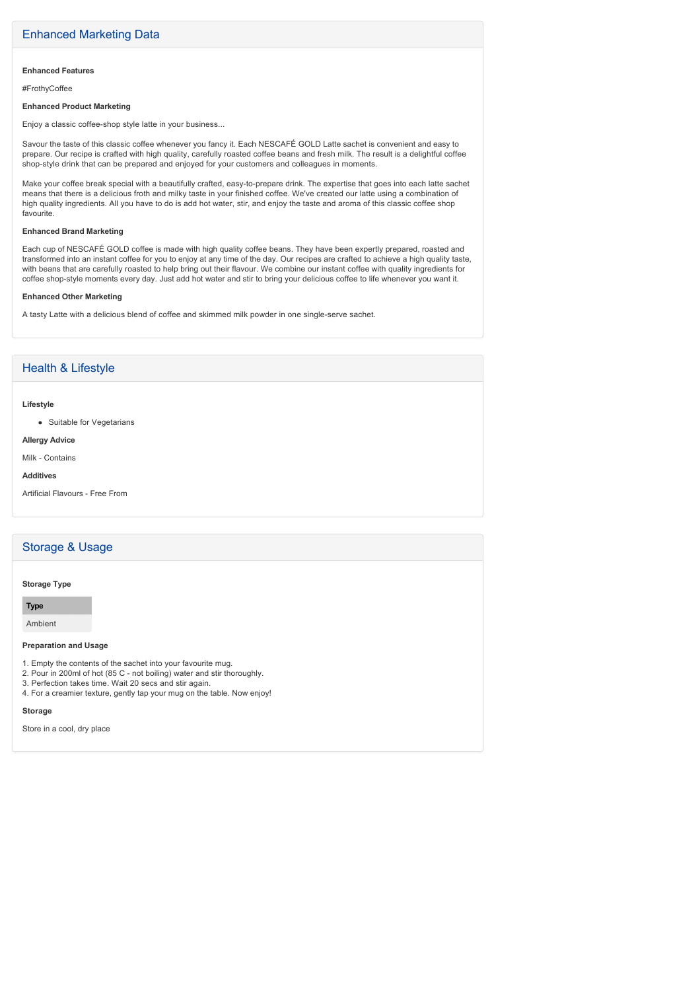#### **Enhanced Features**

#FrothyCoffee

#### **Enhanced Product Marketing**

Enjoy a classic coffee-shop style latte in your business...

Savour the taste of this classic coffee whenever you fancy it. Each NESCAFÉ GOLD Latte sachet is convenient and easy to prepare. Our recipe is crafted with high quality, carefully roasted coffee beans and fresh milk. The result is a delightful coffee shopstyle drink that can be prepared and enjoyed for your customers and colleagues in moments.

Make your coffee break special with a beautifully crafted, easy-to-prepare drink. The expertise that goes into each latte sachet means that there is a delicious froth and milky taste in your finished coffee. We've created our latte using a combination of high quality ingredients. All you have to do is add hot water, stir, and enjoy the taste and aroma of this classic coffee shop favourite.

#### **Enhanced Brand Marketing**

Each cup of NESCAFÉ GOLD coffee is made with high quality coffee beans. They have been expertly prepared, roasted and transformed into an instant coffee for you to enjoy at any time of the day. Our recipes are crafted to achieve a high quality taste, with beans that are carefully roasted to help bring out their flavour. We combine our instant coffee with quality ingredients for coffee shop-style moments every day. Just add hot water and stir to bring your delicious coffee to life whenever you want it.

#### **Enhanced Other Marketing**

A tasty Latte with a delicious blend of coffee and skimmed milk powder in one single-serve sachet.

#### Health & Lifestyle

#### **Lifestyle**

• Suitable for Vegetarians

#### **Allergy Advice**

Milk - Contains

#### **Additives**

Artificial Flavours - Free From

#### Storage & Usage

#### **Storage Type**

**Type**

Ambient

#### **Preparation and Usage**

- 1. Empty the contents of the sachet into your favourite mug.
- 2. Pour in 200ml of hot (85 C not boiling) water and stir thoroughly.
- 3. Perfection takes time. Wait 20 secs and stir again.
- 4. For a creamier texture, gently tap your mug on the table. Now enjoy!

#### **Storage**

Store in a cool, dry place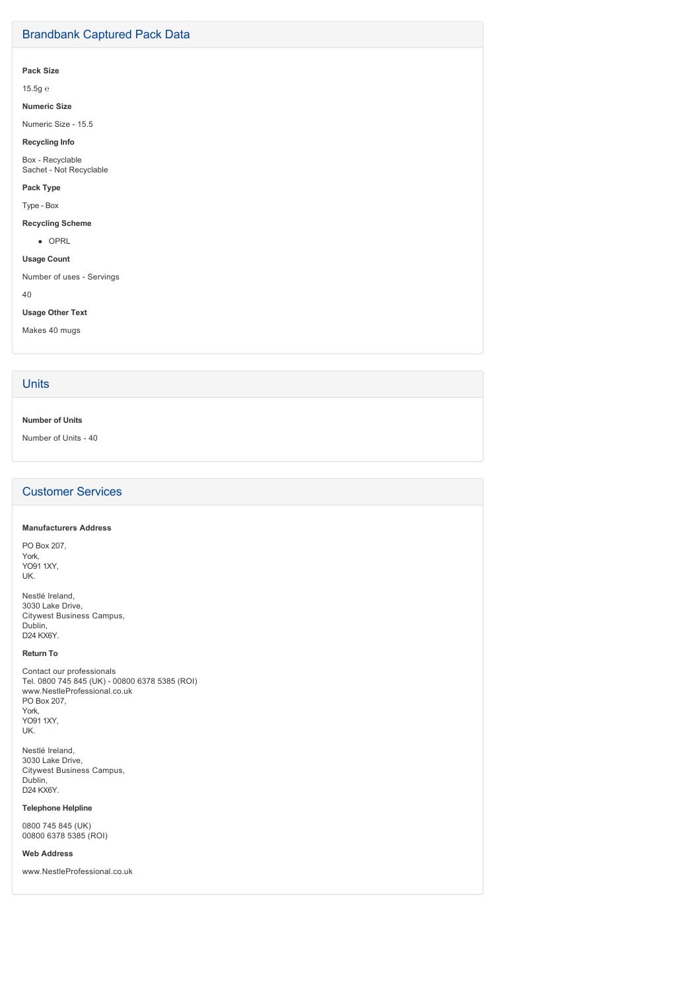#### Brandbank Captured Pack Data

#### **Pack Size**

15.5g ℮

#### **Numeric Size**

Numeric Size - 15.5

#### **Recycling Info**

Box - Recyclable Sachet - Not Recyclable

#### **Pack Type**

Type - Box

## **Recycling Scheme**

• OPRL

**Usage Count**

Number of uses - Servings

40

#### **Usage Other Text**

Makes 40 mugs

#### **Units**

#### **Number of Units**

Number of Units - 40

#### Customer Services

#### **Manufacturers Address**

PO Box 207, York, YO91 1XY, UK.

Nestlé Ireland, 3030 Lake Drive, Citywest Business Campus, Dublin, D24 KX6Y.

#### **Return To**

Contact our professionals Tel. 0800 745 845 (UK) - 00800 6378 5385 (ROI) www.NestleProfessional.co.uk PO Box 207, York, YO91 1XY, UK.

Nestlé Ireland, 3030 Lake Drive, Citywest Business Campus, Dublin, D24 KX6Y.

#### **Telephone Helpline**

0800 745 845 (UK) 00800 6378 5385 (ROI)

#### **Web Address**

www.NestleProfessional.co.uk